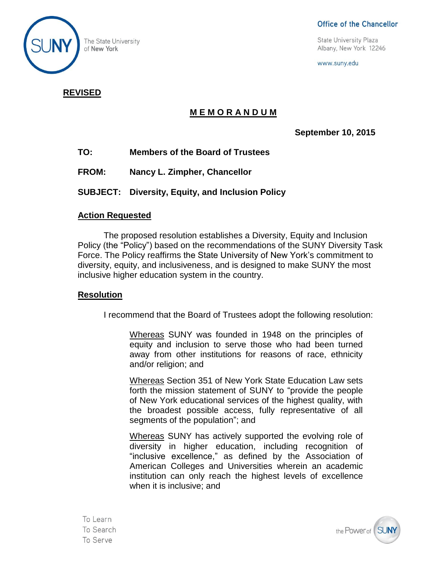

### Office of the Chancellor

The State University<br>
of New York 12246<br>
of New York 12246

www.suny.edu

## **REVISED**

# **M E M O R A N D U M**

**September 10, 2015**

- **TO: Members of the Board of Trustees**
- **FROM: Nancy L. Zimpher, Chancellor**
- **SUBJECT: Diversity, Equity, and Inclusion Policy**

## **Action Requested**

The proposed resolution establishes a Diversity, Equity and Inclusion Policy (the "Policy") based on the recommendations of the SUNY Diversity Task Force. The Policy reaffirms the State University of New York's commitment to diversity, equity, and inclusiveness, and is designed to make SUNY the most inclusive higher education system in the country.

## **Resolution**

I recommend that the Board of Trustees adopt the following resolution:

Whereas SUNY was founded in 1948 on the principles of equity and inclusion to serve those who had been turned away from other institutions for reasons of race, ethnicity and/or religion; and

Whereas Section 351 of New York State Education Law sets forth the mission statement of SUNY to "provide the people of New York educational services of the highest quality, with the broadest possible access, fully representative of all segments of the population"; and

Whereas SUNY has actively supported the evolving role of diversity in higher education, including recognition of "inclusive excellence," as defined by the Association of American Colleges and Universities wherein an academic institution can only reach the highest levels of excellence when it is inclusive; and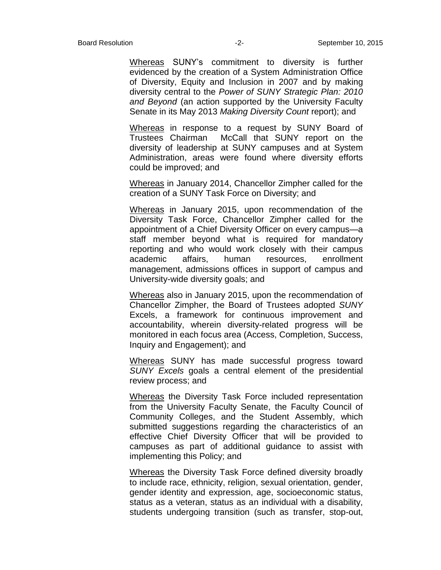Whereas SUNY's commitment to diversity is further evidenced by the creation of a System Administration Office of Diversity, Equity and Inclusion in 2007 and by making diversity central to the *Power of SUNY Strategic Plan: 2010 and Beyond* (an action supported by the University Faculty Senate in its May 2013 *Making Diversity Count* report); and

Whereas in response to a request by SUNY Board of Trustees Chairman McCall that SUNY report on the diversity of leadership at SUNY campuses and at System Administration, areas were found where diversity efforts could be improved; and

Whereas in January 2014, Chancellor Zimpher called for the creation of a SUNY Task Force on Diversity; and

Whereas in January 2015, upon recommendation of the Diversity Task Force, Chancellor Zimpher called for the appointment of a Chief Diversity Officer on every campus—a staff member beyond what is required for mandatory reporting and who would work closely with their campus academic affairs, human resources, enrollment management, admissions offices in support of campus and University-wide diversity goals; and

Whereas also in January 2015, upon the recommendation of Chancellor Zimpher, the Board of Trustees adopted *SUNY*  Excels, a framework for continuous improvement and accountability, wherein diversity-related progress will be monitored in each focus area (Access, Completion, Success, Inquiry and Engagement); and

Whereas SUNY has made successful progress toward *SUNY Excels* goals a central element of the presidential review process; and

Whereas the Diversity Task Force included representation from the University Faculty Senate, the Faculty Council of Community Colleges, and the Student Assembly, which submitted suggestions regarding the characteristics of an effective Chief Diversity Officer that will be provided to campuses as part of additional guidance to assist with implementing this Policy; and

Whereas the Diversity Task Force defined diversity broadly to include race, ethnicity, religion, sexual orientation, gender, gender identity and expression, age, socioeconomic status, status as a veteran, status as an individual with a disability, students undergoing transition (such as transfer, stop-out,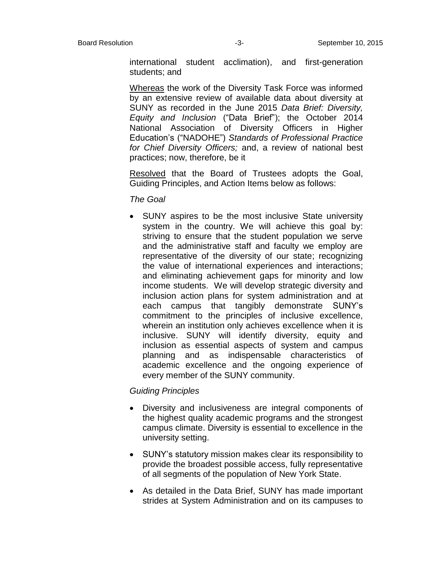international student acclimation), and first-generation students; and

Whereas the work of the Diversity Task Force was informed by an extensive review of available data about diversity at SUNY as recorded in the June 2015 *Data Brief: Diversity, Equity and Inclusion* ("Data Brief"); the October 2014 National Association of Diversity Officers in Higher Education's ("NADOHE") *Standards of Professional Practice for Chief Diversity Officers;* and, a review of national best practices; now, therefore, be it

Resolved that the Board of Trustees adopts the Goal, Guiding Principles, and Action Items below as follows:

*The Goal*

 SUNY aspires to be the most inclusive State university system in the country. We will achieve this goal by: striving to ensure that the student population we serve and the administrative staff and faculty we employ are representative of the diversity of our state; recognizing the value of international experiences and interactions; and eliminating achievement gaps for minority and low income students. We will develop strategic diversity and inclusion action plans for system administration and at each campus that tangibly demonstrate SUNY's commitment to the principles of inclusive excellence, wherein an institution only achieves excellence when it is inclusive. SUNY will identify diversity, equity and inclusion as essential aspects of system and campus planning and as indispensable characteristics of academic excellence and the ongoing experience of every member of the SUNY community.

#### *Guiding Principles*

- Diversity and inclusiveness are integral components of the highest quality academic programs and the strongest campus climate. Diversity is essential to excellence in the university setting.
- SUNY's statutory mission makes clear its responsibility to provide the broadest possible access, fully representative of all segments of the population of New York State.
- As detailed in the Data Brief, SUNY has made important strides at System Administration and on its campuses to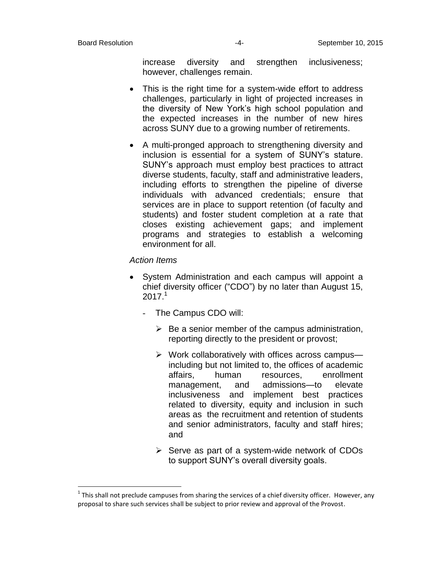$\overline{a}$ 

increase diversity and strengthen inclusiveness; however, challenges remain.

- This is the right time for a system-wide effort to address challenges, particularly in light of projected increases in the diversity of New York's high school population and the expected increases in the number of new hires across SUNY due to a growing number of retirements.
- A multi-pronged approach to strengthening diversity and inclusion is essential for a system of SUNY's stature. SUNY's approach must employ best practices to attract diverse students, faculty, staff and administrative leaders, including efforts to strengthen the pipeline of diverse individuals with advanced credentials; ensure that services are in place to support retention (of faculty and students) and foster student completion at a rate that closes existing achievement gaps; and implement programs and strategies to establish a welcoming environment for all.

#### *Action Items*

- System Administration and each campus will appoint a chief diversity officer ("CDO") by no later than August 15,  $2017<sup>1</sup>$ 
	- The Campus CDO will:
		- $\triangleright$  Be a senior member of the campus administration, reporting directly to the president or provost;
		- $\triangleright$  Work collaboratively with offices across campus including but not limited to, the offices of academic affairs, human resources, enrollment management, and admissions—to elevate inclusiveness and implement best practices related to diversity, equity and inclusion in such areas as the recruitment and retention of students and senior administrators, faculty and staff hires; and
		- $\triangleright$  Serve as part of a system-wide network of CDOs to support SUNY's overall diversity goals.

 $^1$  This shall not preclude campuses from sharing the services of a chief diversity officer. However, any proposal to share such services shall be subject to prior review and approval of the Provost.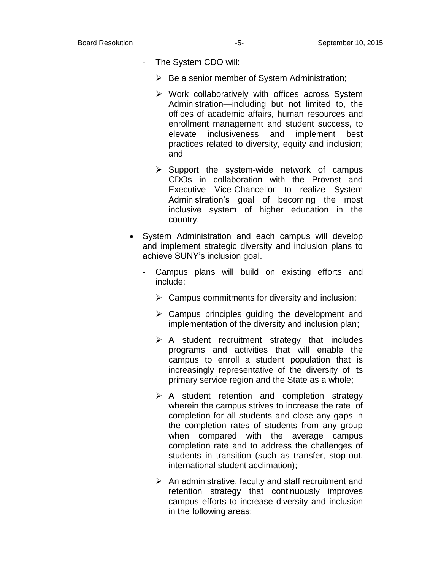- The System CDO will:
	- $\triangleright$  Be a senior member of System Administration;
	- $\triangleright$  Work collaboratively with offices across System Administration—including but not limited to, the offices of academic affairs, human resources and enrollment management and student success, to elevate inclusiveness and implement best practices related to diversity, equity and inclusion; and
	- $\triangleright$  Support the system-wide network of campus CDOs in collaboration with the Provost and Executive Vice-Chancellor to realize System Administration's goal of becoming the most inclusive system of higher education in the country.
- System Administration and each campus will develop and implement strategic diversity and inclusion plans to achieve SUNY's inclusion goal.
	- Campus plans will build on existing efforts and include:
		- $\triangleright$  Campus commitments for diversity and inclusion;
		- $\triangleright$  Campus principles quiding the development and implementation of the diversity and inclusion plan;
		- $\triangleright$  A student recruitment strategy that includes programs and activities that will enable the campus to enroll a student population that is increasingly representative of the diversity of its primary service region and the State as a whole;
		- $\triangleright$  A student retention and completion strategy wherein the campus strives to increase the rate of completion for all students and close any gaps in the completion rates of students from any group when compared with the average campus completion rate and to address the challenges of students in transition (such as transfer, stop-out, international student acclimation);
		- $\triangleright$  An administrative, faculty and staff recruitment and retention strategy that continuously improves campus efforts to increase diversity and inclusion in the following areas: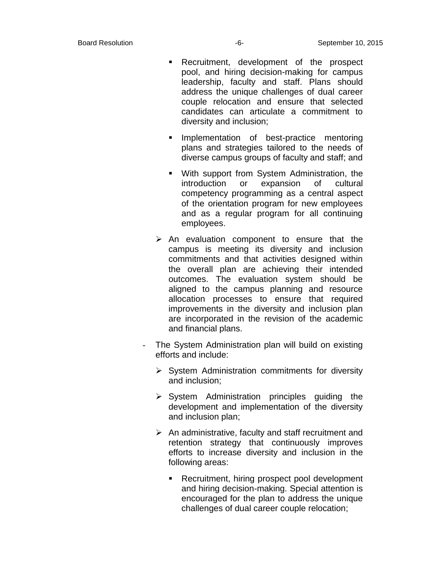- Recruitment, development of the prospect pool, and hiring decision-making for campus leadership, faculty and staff. Plans should address the unique challenges of dual career couple relocation and ensure that selected candidates can articulate a commitment to diversity and inclusion;
- **Implementation of best-practice mentoring** plans and strategies tailored to the needs of diverse campus groups of faculty and staff; and
- With support from System Administration, the introduction or expansion of cultural competency programming as a central aspect of the orientation program for new employees and as a regular program for all continuing employees.
- $\triangleright$  An evaluation component to ensure that the campus is meeting its diversity and inclusion commitments and that activities designed within the overall plan are achieving their intended outcomes. The evaluation system should be aligned to the campus planning and resource allocation processes to ensure that required improvements in the diversity and inclusion plan are incorporated in the revision of the academic and financial plans.
- The System Administration plan will build on existing efforts and include:
	- $\triangleright$  System Administration commitments for diversity and inclusion;
	- $\triangleright$  System Administration principles guiding the development and implementation of the diversity and inclusion plan;
	- $\triangleright$  An administrative, faculty and staff recruitment and retention strategy that continuously improves efforts to increase diversity and inclusion in the following areas:
		- **Recruitment, hiring prospect pool development** and hiring decision-making. Special attention is encouraged for the plan to address the unique challenges of dual career couple relocation;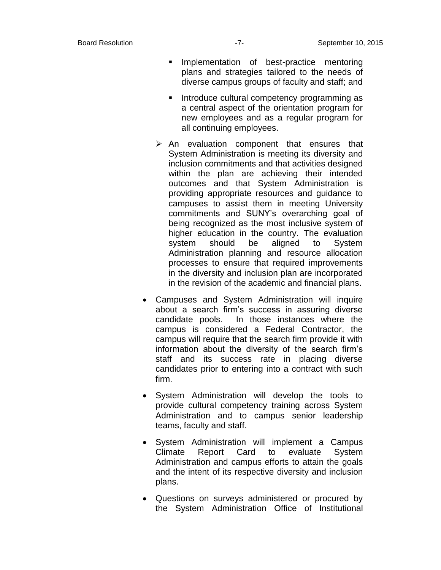- **Implementation of best-practice mentoring** plans and strategies tailored to the needs of diverse campus groups of faculty and staff; and
- Introduce cultural competency programming as a central aspect of the orientation program for new employees and as a regular program for all continuing employees.
- $\triangleright$  An evaluation component that ensures that System Administration is meeting its diversity and inclusion commitments and that activities designed within the plan are achieving their intended outcomes and that System Administration is providing appropriate resources and guidance to campuses to assist them in meeting University commitments and SUNY's overarching goal of being recognized as the most inclusive system of higher education in the country. The evaluation system should be aligned to System Administration planning and resource allocation processes to ensure that required improvements in the diversity and inclusion plan are incorporated in the revision of the academic and financial plans.
- Campuses and System Administration will inquire about a search firm's success in assuring diverse candidate pools. In those instances where the campus is considered a Federal Contractor, the campus will require that the search firm provide it with information about the diversity of the search firm's staff and its success rate in placing diverse candidates prior to entering into a contract with such firm.
- System Administration will develop the tools to provide cultural competency training across System Administration and to campus senior leadership teams, faculty and staff.
- System Administration will implement a Campus Climate Report Card to evaluate System Administration and campus efforts to attain the goals and the intent of its respective diversity and inclusion plans.
- Questions on surveys administered or procured by the System Administration Office of Institutional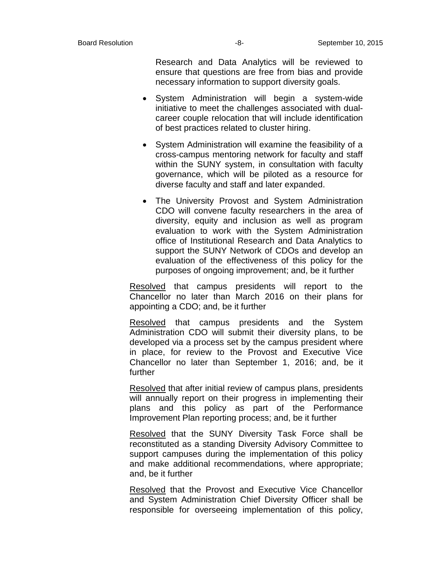Research and Data Analytics will be reviewed to ensure that questions are free from bias and provide necessary information to support diversity goals.

- System Administration will begin a system-wide initiative to meet the challenges associated with dualcareer couple relocation that will include identification of best practices related to cluster hiring.
- System Administration will examine the feasibility of a cross-campus mentoring network for faculty and staff within the SUNY system, in consultation with faculty governance, which will be piloted as a resource for diverse faculty and staff and later expanded.
- The University Provost and System Administration CDO will convene faculty researchers in the area of diversity, equity and inclusion as well as program evaluation to work with the System Administration office of Institutional Research and Data Analytics to support the SUNY Network of CDOs and develop an evaluation of the effectiveness of this policy for the purposes of ongoing improvement; and, be it further

Resolved that campus presidents will report to the Chancellor no later than March 2016 on their plans for appointing a CDO; and, be it further

Resolved that campus presidents and the System Administration CDO will submit their diversity plans, to be developed via a process set by the campus president where in place, for review to the Provost and Executive Vice Chancellor no later than September 1, 2016; and, be it further

Resolved that after initial review of campus plans, presidents will annually report on their progress in implementing their plans and this policy as part of the Performance Improvement Plan reporting process; and, be it further

Resolved that the SUNY Diversity Task Force shall be reconstituted as a standing Diversity Advisory Committee to support campuses during the implementation of this policy and make additional recommendations, where appropriate; and, be it further

Resolved that the Provost and Executive Vice Chancellor and System Administration Chief Diversity Officer shall be responsible for overseeing implementation of this policy,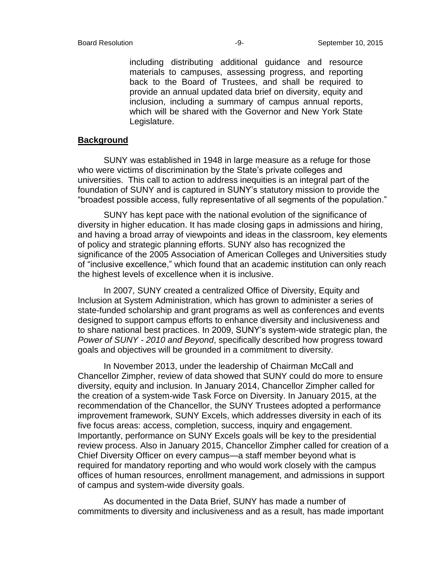including distributing additional guidance and resource materials to campuses, assessing progress, and reporting back to the Board of Trustees, and shall be required to provide an annual updated data brief on diversity, equity and inclusion, including a summary of campus annual reports, which will be shared with the Governor and New York State Legislature.

## **Background**

SUNY was established in 1948 in large measure as a refuge for those who were victims of discrimination by the State's private colleges and universities. This call to action to address inequities is an integral part of the foundation of SUNY and is captured in SUNY's statutory mission to provide the "broadest possible access, fully representative of all segments of the population."

SUNY has kept pace with the national evolution of the significance of diversity in higher education. It has made closing gaps in admissions and hiring, and having a broad array of viewpoints and ideas in the classroom, key elements of policy and strategic planning efforts. SUNY also has recognized the significance of the 2005 Association of American Colleges and Universities study of "inclusive excellence," which found that an academic institution can only reach the highest levels of excellence when it is inclusive.

In 2007, SUNY created a centralized Office of Diversity, Equity and Inclusion at System Administration, which has grown to administer a series of state-funded scholarship and grant programs as well as conferences and events designed to support campus efforts to enhance diversity and inclusiveness and to share national best practices. In 2009, SUNY's system-wide strategic plan, the *Power of SUNY - 2010 and Beyond*, specifically described how progress toward goals and objectives will be grounded in a commitment to diversity.

In November 2013, under the leadership of Chairman McCall and Chancellor Zimpher, review of data showed that SUNY could do more to ensure diversity, equity and inclusion. In January 2014, Chancellor Zimpher called for the creation of a system-wide Task Force on Diversity. In January 2015, at the recommendation of the Chancellor, the SUNY Trustees adopted a performance improvement framework, SUNY Excels, which addresses diversity in each of its five focus areas: access, completion, success, inquiry and engagement. Importantly, performance on SUNY Excels goals will be key to the presidential review process. Also in January 2015, Chancellor Zimpher called for creation of a Chief Diversity Officer on every campus—a staff member beyond what is required for mandatory reporting and who would work closely with the campus offices of human resources, enrollment management, and admissions in support of campus and system-wide diversity goals.

As documented in the Data Brief, SUNY has made a number of commitments to diversity and inclusiveness and as a result, has made important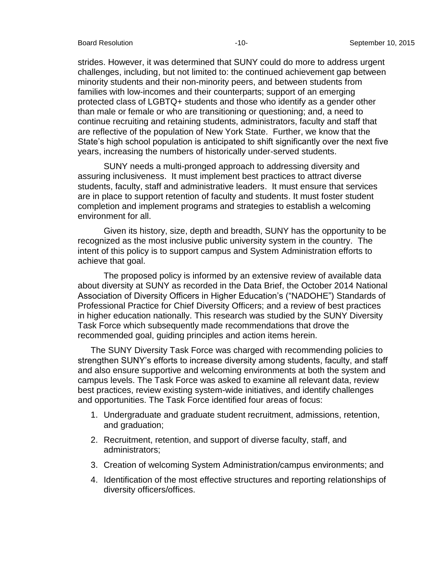strides. However, it was determined that SUNY could do more to address urgent challenges, including, but not limited to: the continued achievement gap between minority students and their non-minority peers, and between students from families with low-incomes and their counterparts; support of an emerging protected class of LGBTQ+ students and those who identify as a gender other than male or female or who are transitioning or questioning; and, a need to continue recruiting and retaining students, administrators, faculty and staff that are reflective of the population of New York State. Further, we know that the State's high school population is anticipated to shift significantly over the next five years, increasing the numbers of historically under-served students.

SUNY needs a multi-pronged approach to addressing diversity and assuring inclusiveness. It must implement best practices to attract diverse students, faculty, staff and administrative leaders. It must ensure that services are in place to support retention of faculty and students. It must foster student completion and implement programs and strategies to establish a welcoming environment for all.

Given its history, size, depth and breadth, SUNY has the opportunity to be recognized as the most inclusive public university system in the country. The intent of this policy is to support campus and System Administration efforts to achieve that goal.

The proposed policy is informed by an extensive review of available data about diversity at SUNY as recorded in the Data Brief, the October 2014 National Association of Diversity Officers in Higher Education's ("NADOHE") Standards of Professional Practice for Chief Diversity Officers; and a review of best practices in higher education nationally. This research was studied by the SUNY Diversity Task Force which subsequently made recommendations that drove the recommended goal, guiding principles and action items herein.

The SUNY Diversity Task Force was charged with recommending policies to strengthen SUNY's efforts to increase diversity among students, faculty, and staff and also ensure supportive and welcoming environments at both the system and campus levels. The Task Force was asked to examine all relevant data, review best practices, review existing system-wide initiatives, and identify challenges and opportunities. The Task Force identified four areas of focus:

- 1. Undergraduate and graduate student recruitment, admissions, retention, and graduation;
- 2. Recruitment, retention, and support of diverse faculty, staff, and administrators;
- 3. Creation of welcoming System Administration/campus environments; and
- 4. Identification of the most effective structures and reporting relationships of diversity officers/offices.